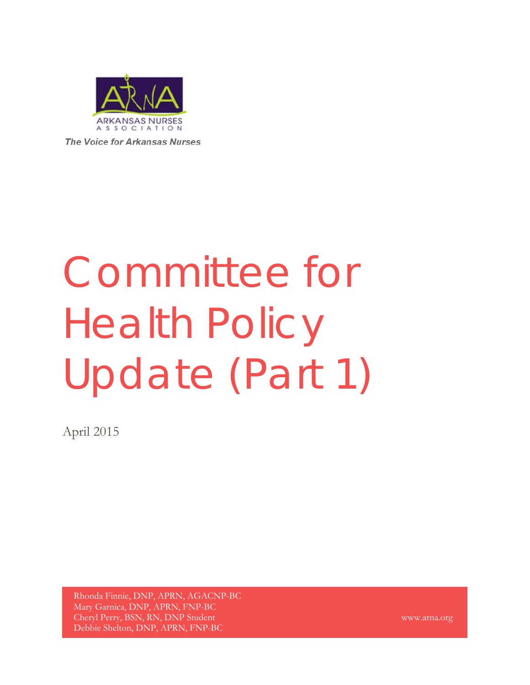

**The Voice for Arkansas Nurses** 

# Committee for Health Policy Update (Part 1)

April 2015

Rhonda Finnie, DNP, APRN, AGACNP-BC Mary Garnica, DNP, APRN, FNP-BC Cheryl Perry, BSN, RN, DNP Student Debbie Shelton, DNP, APRN, FNP-BC

www.arna.org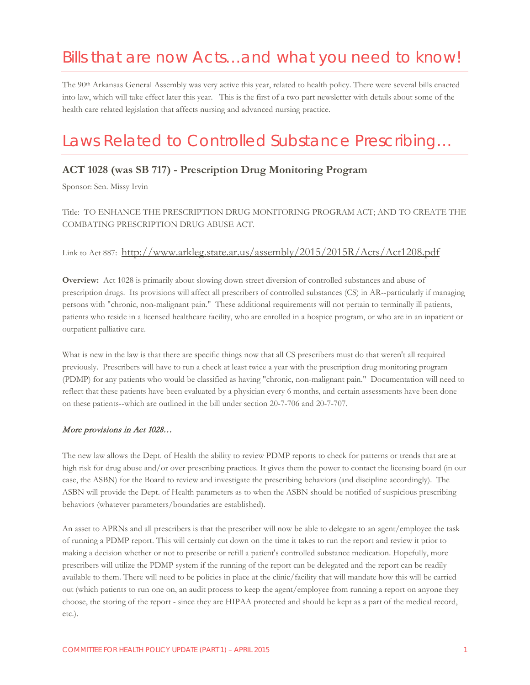# Bills that are now Acts…and what you need to know!

The 90th Arkansas General Assembly was very active this year, related to health policy. There were several bills enacted into law, which will take effect later this year. This is the first of a two part newsletter with details about some of the health care related legislation that affects nursing and advanced nursing practice.

# Laws Related to Controlled Substance Prescribing…

## **ACT 1028 (was SB 717) - Prescription Drug Monitoring Program**

Sponsor: Sen. Missy Irvin

Title: TO ENHANCE THE PRESCRIPTION DRUG MONITORING PROGRAM ACT; AND TO CREATE THE COMBATING PRESCRIPTION DRUG ABUSE ACT.

## Link to Act 887: <http://www.arkleg.state.ar.us/assembly/2015/2015R/Acts/Act1208.pdf>

**Overview:** Act 1028 is primarily about slowing down street diversion of controlled substances and abuse of prescription drugs. Its provisions will affect all prescribers of controlled substances (CS) in AR--particularly if managing persons with "chronic, non-malignant pain." These additional requirements will not pertain to terminally ill patients, patients who reside in a licensed healthcare facility, who are enrolled in a hospice program, or who are in an inpatient or outpatient palliative care.

What is new in the law is that there are specific things now that all CS prescribers must do that weren't all required previously. Prescribers will have to run a check at least twice a year with the prescription drug monitoring program (PDMP) for any patients who would be classified as having "chronic, non-malignant pain." Documentation will need to reflect that these patients have been evaluated by a physician every 6 months, and certain assessments have been done on these patients--which are outlined in the bill under section 20-7-706 and 20-7-707.

#### More provisions in Act 1028…

The new law allows the Dept. of Health the ability to review PDMP reports to check for patterns or trends that are at high risk for drug abuse and/or over prescribing practices. It gives them the power to contact the licensing board (in our case, the ASBN) for the Board to review and investigate the prescribing behaviors (and discipline accordingly). The ASBN will provide the Dept. of Health parameters as to when the ASBN should be notified of suspicious prescribing behaviors (whatever parameters/boundaries are established).

An asset to APRNs and all prescribers is that the prescriber will now be able to delegate to an agent/employee the task of running a PDMP report. This will certainly cut down on the time it takes to run the report and review it prior to making a decision whether or not to prescribe or refill a patient's controlled substance medication. Hopefully, more prescribers will utilize the PDMP system if the running of the report can be delegated and the report can be readily available to them. There will need to be policies in place at the clinic/facility that will mandate how this will be carried out (which patients to run one on, an audit process to keep the agent/employee from running a report on anyone they choose, the storing of the report - since they are HIPAA protected and should be kept as a part of the medical record, etc.).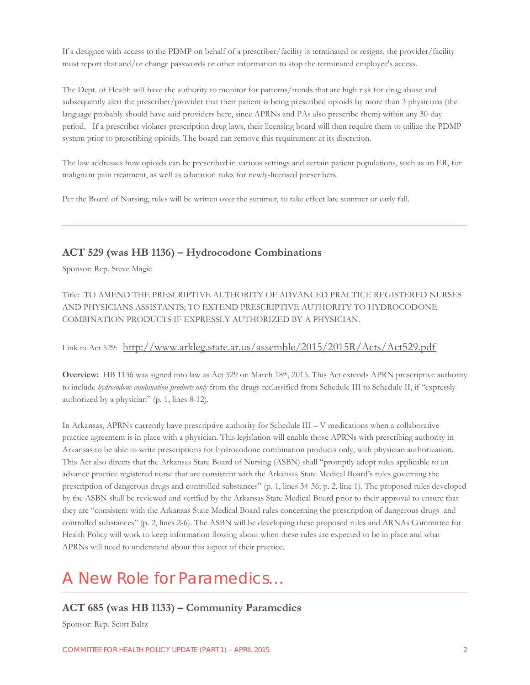If a designee with access to the PDMP on behalf of a prescriber/facility is terminated or resigns, the provider/facility must report that and/or change passwords or other information to stop the terminated employee's access.

The Dept. of Health will have the authority to monitor for patterns/trends that are high risk for drug abuse and subsequently alert the prescriber/provider that their patient is being prescribed opioids by more than 3 physicians (the language probably should have said providers here, since APRNs and PAs also prescribe them) within any 30-day period. If a prescriber violates prescription drug laws, their licensing board will then require them to utilize the PDMP system prior to prescribing opioids. The board can remove this requirement at its discretion.

The law addresses how opioids can be prescribed in various settings and certain patient populations, such as an ER, for malignant pain treatment, as well as education rules for newly-licensed prescribers.

Per the Board of Nursing, rules will be written over the summer, to take effect late summer or early fall.

#### **ACT 529 (was HB 1136) – Hydrocodone Combinations**

Sponsor: Rep. Steve Magie

Title: TO AMEND THE PRESCRIPTIVE AUTHORITY OF ADVANCED PRACTICE REGISTERED NURSES AND PHYSICIANS ASSISTANTS; TO EXTEND PRESCRIPTIVE AUTHORITY TO HYDROCODONE COMBINATION PRODUCTS IF EXPRESSLY AUTHORIZED BY A PHYSICIAN.

## Link to Act 529: <http://www.arkleg.state.ar.us/assemble/2015/2015R/Acts/Act529.pdf>

**Overview:** HB 1136 was signed into law as Act 529 on March 18th, 2015. This Act extends APRN prescriptive authority to include *hydrocodone combination products only* from the drugs reclassified from Schedule III to Schedule II, if "expressly authorized by a physician" (p. 1, lines 8-12).

In Arkansas, APRNs currently have prescriptive authority for Schedule III – V medications when a collaborative practice agreement is in place with a physician. This legislation will enable those APRNs with prescribing authority in Arkansas to be able to write prescriptions for hydrocodone combination products only, with physician authorization. This Act also directs that the Arkansas State Board of Nursing (ASBN) shall "promptly adopt rules applicable to an advance practice registered nurse that are consistent with the Arkansas State Medical Board's rules governing the prescription of dangerous drugs and controlled substances" (p. 1, lines 34-36; p. 2, line 1). The proposed rules developed by the ASBN shall be reviewed and verified by the Arkansas State Medical Board prior to their approval to ensure that they are "consistent with the Arkansas State Medical Board rules concerning the prescription of dangerous drugs and controlled substances" (p. 2, lines 2-6). The ASBN will be developing these proposed rules and ARNAs Committee for Health Policy will work to keep information flowing about when these rules are expected to be in place and what APRNs will need to understand about this aspect of their practice.

# A New Role for Paramedics…

#### **ACT 685 (was HB 1133) – Community Paramedics**

Sponsor: Rep. Scott Baltz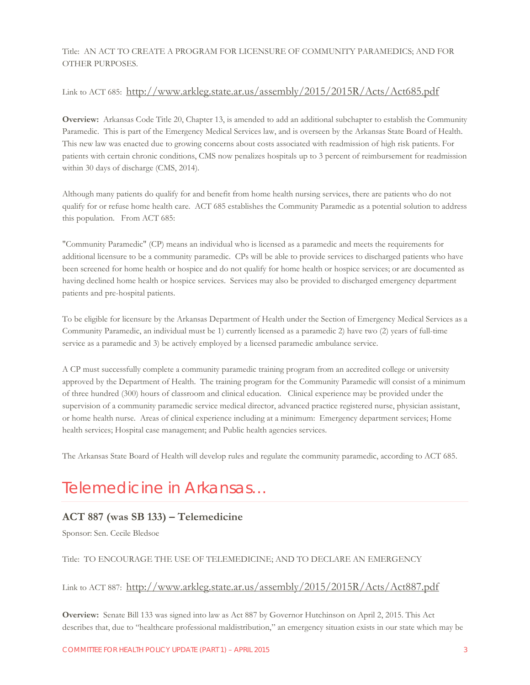#### Title:AN ACT TO CREATE A PROGRAM FOR LICENSURE OF COMMUNITY PARAMEDICS; AND FOR OTHER PURPOSES.

#### Link to ACT 685: <http://www.arkleg.state.ar.us/assembly/2015/2015R/Acts/Act685.pdf>

**Overview:** Arkansas Code Title 20, Chapter 13, is amended to add an additional subchapter to establish the Community Paramedic. This is part of the Emergency Medical Services law, and is overseen by the Arkansas State Board of Health. This new law was enacted due to growing concerns about costs associated with readmission of high risk patients. For patients with certain chronic conditions, CMS now penalizes hospitals up to 3 percent of reimbursement for readmission within 30 days of discharge (CMS, 2014).

Although many patients do qualify for and benefit from home health nursing services, there are patients who do not qualify for or refuse home health care. ACT 685 establishes the Community Paramedic as a potential solution to address this population. From ACT 685:

"Community Paramedic" (CP) means an individual who is licensed as a paramedic and meets the requirements for additional licensure to be a community paramedic. CPs will be able to provide services to discharged patients who have been screened for home health or hospice and do not qualify for home health or hospice services; or are documented as having declined home health or hospice services. Services may also be provided to discharged emergency department patients and pre-hospital patients.

To be eligible for licensure by the Arkansas Department of Health under the Section of Emergency Medical Services as a Community Paramedic, an individual must be 1) currently licensed as a paramedic 2) have two (2) years of full-time service as a paramedic and 3) be actively employed by a licensed paramedic ambulance service.

A CP must successfully complete a community paramedic training program from an accredited college or university approved by the Department of Health. The training program for the Community Paramedic will consist of a minimum of three hundred (300) hours of classroom and clinical education. Clinical experience may be provided under the supervision of a community paramedic service medical director, advanced practice registered nurse, physician assistant, or home health nurse. Areas of clinical experience including at a minimum: Emergency department services; Home health services; Hospital case management; and Public health agencies services.

The Arkansas State Board of Health will develop rules and regulate the community paramedic, according to ACT 685.

# Telemedicine in Arkansas…

## **ACT 887 (was SB 133) – Telemedicine**

Sponsor: Sen. Cecile Bledsoe

#### Title:TO ENCOURAGE THE USE OF TELEMEDICINE; AND TO DECLARE AN EMERGENCY

#### Link to ACT 887: <http://www.arkleg.state.ar.us/assembly/2015/2015R/Acts/Act887.pdf>

**Overview:** Senate Bill 133 was signed into law as Act 887 by Governor Hutchinson on April 2, 2015. This Act describes that, due to "healthcare professional maldistribution," an emergency situation exists in our state which may be